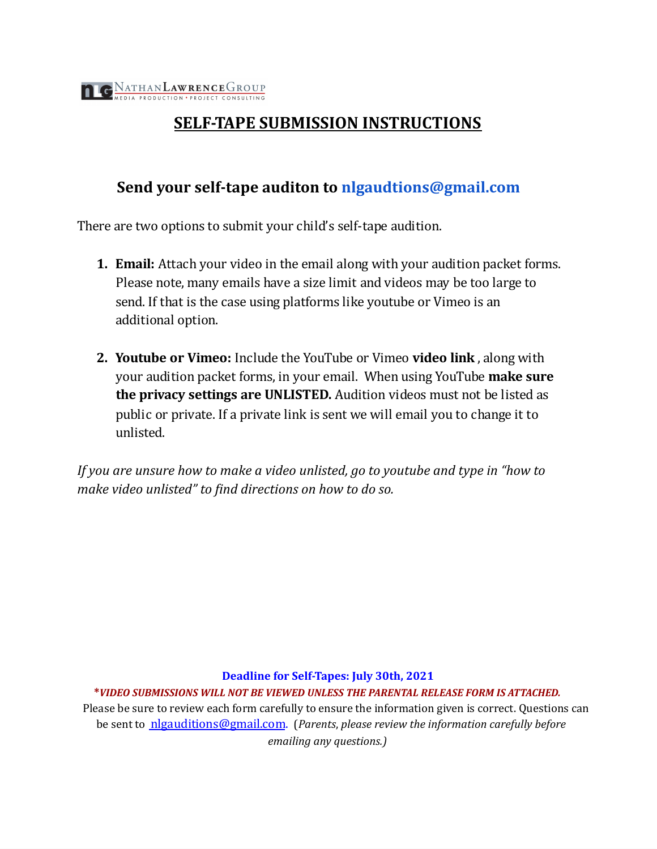## **SELF-TAPE SUBMISSION INSTRUCTIONS**

## **Send your self-tape auditon to [nlgaudtions@gmail.com](mailto:nlgaudtions@gmail.com)**

There are two options to submit your child's self-tape audition.

- **1. Email:** Attach your video in the email along with your audition packet forms. Please note, many emails have a size limit and videos may be too large to send. If that is the case using platforms like youtube or Vimeo is an additional option.
- **2. Youtube or Vimeo:** Include the YouTube or Vimeo **video link** , along with your audition packet forms, in your email. When using YouTube **make sure the privacy settings are UNLISTED.** Audition videos must not be listed as public or private. If a private link is sent we will email you to change it to unlisted.

*If you are unsure how to make a video unlisted, go to youtube and type in "how to make video unlisted" to find directions on how to do so.*

**Deadline for Self-Tapes: July 30th, 2021**

**\****VIDEO SUBMISSIONS WILL NOT BE VIEWED UNLESS THE PARENTAL RELEASE FORM IS ATTACHED.*

Please be sure to review each form carefully to ensure the information given is correct. Questions can be sent to nlgauditions@gmail.com. (*Parents*, *please review the information carefully before emailing any questions.)*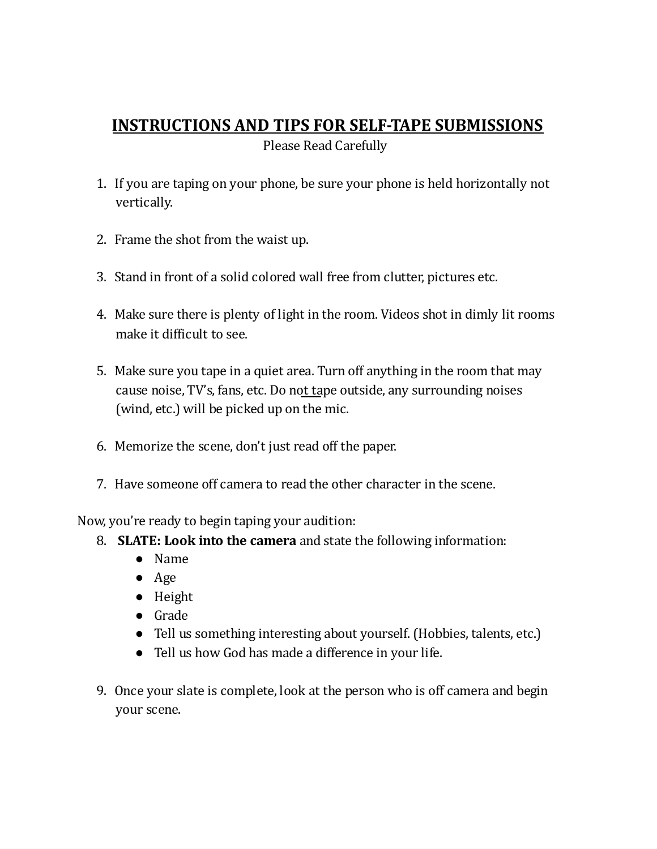## **INSTRUCTIONS AND TIPS FOR SELF-TAPE SUBMISSIONS**

Please Read Carefully

- 1. If you are taping on your phone, be sure your phone is held horizontally not vertically.
- 2. Frame the shot from the waist up.
- 3. Stand in front of a solid colored wall free from clutter, pictures etc.
- 4. Make sure there is plenty of light in the room. Videos shot in dimly lit rooms make it difficult to see.
- 5. Make sure you tape in a quiet area. Turn off anything in the room that may cause noise, TV's, fans, etc. Do not tape outside, any surrounding noises (wind, etc.) will be picked up on the mic.
- 6. Memorize the scene, don't just read off the paper.
- 7. Have someone off camera to read the other character in the scene.

Now, you're ready to begin taping your audition:

- 8. **SLATE: Look into the camera** and state the following information:
	- Name
	- Age
	- Height
	- Grade
	- Tell us something interesting about yourself. (Hobbies, talents, etc.)
	- Tell us how God has made a difference in your life.
- 9. Once your slate is complete, look at the person who is off camera and begin your scene.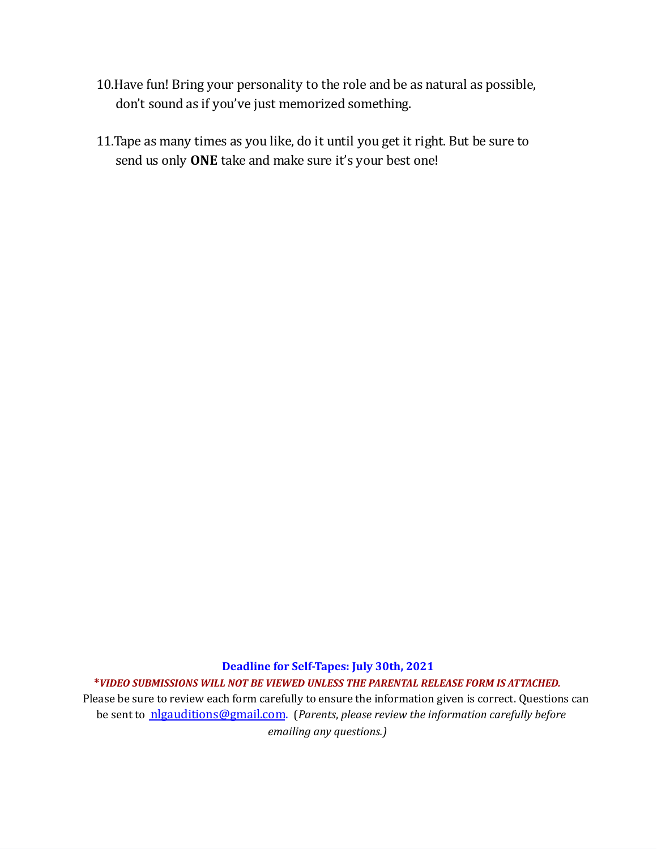- 10.Have fun! Bring your personality to the role and be as natural as possible, don't sound as if you've just memorized something.
- 11.Tape as many times as you like, do it until you get it right. But be sure to send us only **ONE** take and make sure it's your best one!

**Deadline for Self-Tapes: July 30th, 2021 \****VIDEO SUBMISSIONS WILL NOT BE VIEWED UNLESS THE PARENTAL RELEASE FORM IS ATTACHED.* Please be sure to review each form carefully to ensure the information given is correct. Questions can be sent to nlgauditions@gmail.com. (*Parents*, *please review the information carefully before emailing any questions.)*